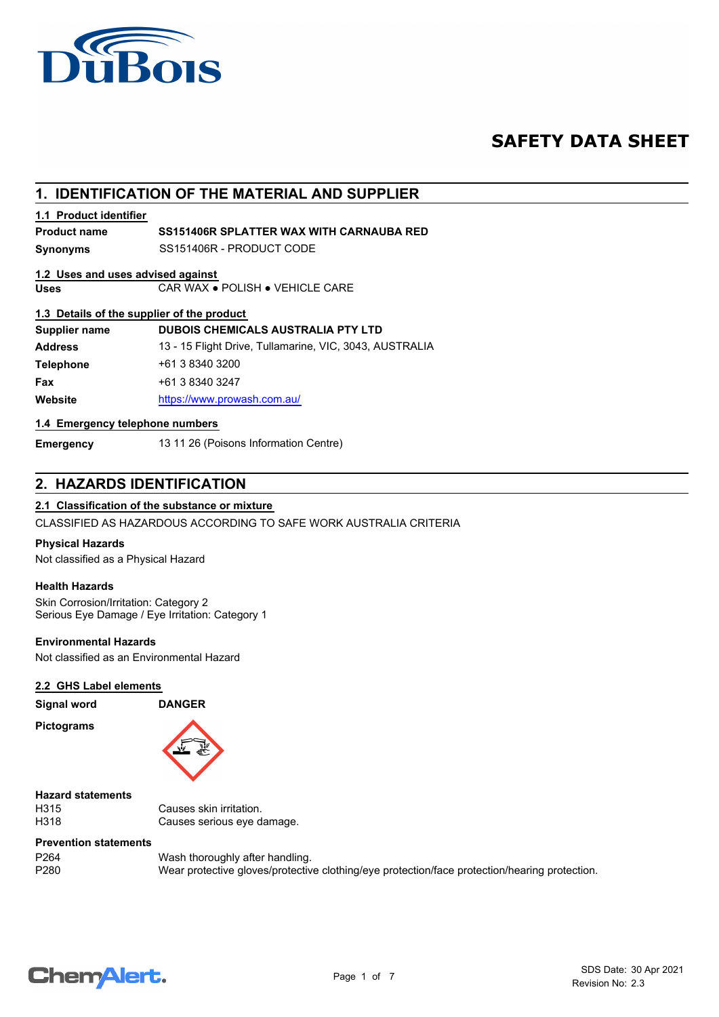

# **SAFETY DATA SHEET**

# **1. IDENTIFICATION OF THE MATERIAL AND SUPPLIER**

### **1.1 Product identifier**

# **Product name SS151406R SPLATTER WAX WITH CARNAUBA RED**

**Synonyms** SS151406R - PRODUCT CODE

#### **1.2 Uses and uses advised against**

**Uses** CAR WAX ● POLISH ● VEHICLE CARE

#### **1.3 Details of the supplier of the product**

| Supplier name    | DUBOIS CHEMICALS AUSTRALIA PTY LTD                      |
|------------------|---------------------------------------------------------|
| <b>Address</b>   | 13 - 15 Flight Drive, Tullamarine, VIC, 3043, AUSTRALIA |
| <b>Telephone</b> | +61 3 8340 3200                                         |
| Fax              | +61 3 8340 3247                                         |
| Website          | https://www.prowash.com.au/                             |

## **1.4 Emergency telephone numbers**

**Emergency** 13 11 26 (Poisons Information Centre)

# **2. HAZARDS IDENTIFICATION**

### **2.1 Classification of the substance or mixture**

CLASSIFIED AS HAZARDOUS ACCORDING TO SAFE WORK AUSTRALIA CRITERIA

#### **Physical Hazards**

Not classified as a Physical Hazard

#### **Health Hazards**

Skin Corrosion/Irritation: Category 2 Serious Eye Damage / Eye Irritation: Category 1

### **Environmental Hazards**

Not classified as an Environmental Hazard

### **2.2 GHS Label elements**

**Signal word DANGER Pictograms**



**Hazard statements**

H315 Causes skin irritation.<br>
H318 Causes serious eve d Causes serious eye damage.

### **Prevention statements**

P264 Wash thoroughly after handling.<br>P280 Wear protective gloves/protective Wear protective gloves/protective clothing/eye protection/face protection/hearing protection.

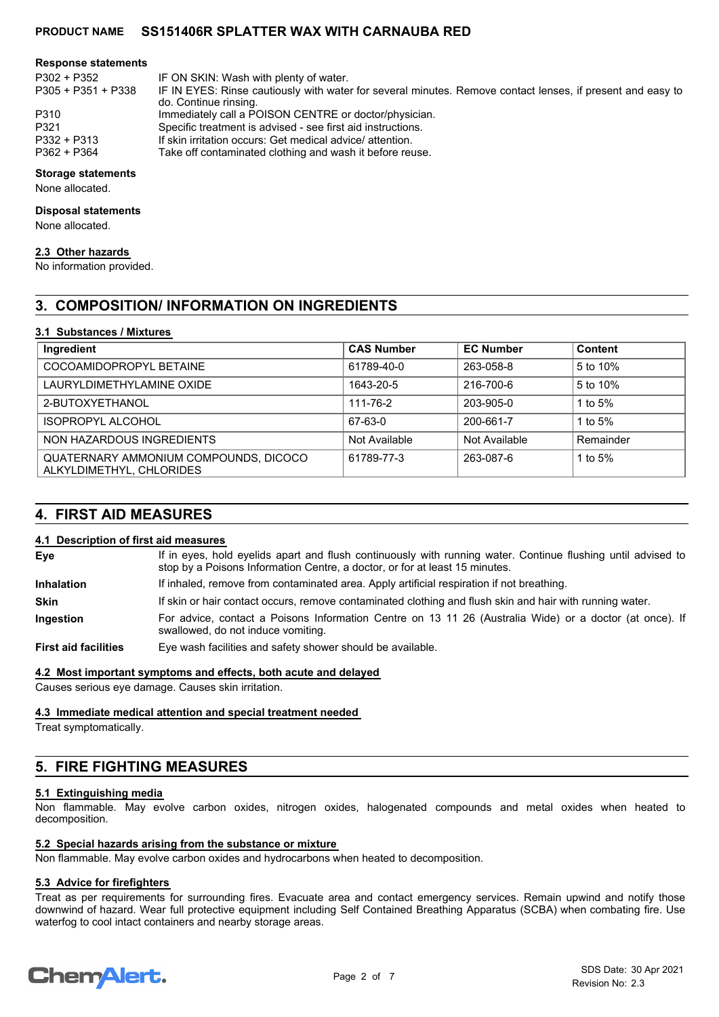#### **Response statements**

P305 + P351 + P338

P302 + P352 IF ON SKIN: Wash with plenty of water.

- IF IN EYES: Rinse cautiously with water for several minutes. Remove contact lenses, if present and easy to do. Continue rinsing.
- P310 Immediately call a POISON CENTRE or doctor/physician.<br>P321 Specific treatment is advised see first aid instructions
- P321 Specific treatment is advised see first aid instructions.<br>P332 + P313 If skin irritation occurs: Get medical advice/ attention.
- P332 + P313 If skin irritation occurs: Get medical advice/ attention.<br>P362 + P364 Take off contaminated clothing and wash it before reu Take off contaminated clothing and wash it before reuse.
- **Storage statements**

None allocated.

#### **Disposal statements**

None allocated.

### **2.3 Other hazards**

No information provided.

# **3. COMPOSITION/ INFORMATION ON INGREDIENTS**

### **3.1 Substances / Mixtures**

| Ingredient                                                        | <b>CAS Number</b> | <b>EC Number</b> | Content   |
|-------------------------------------------------------------------|-------------------|------------------|-----------|
| COCOAMIDOPROPYL BETAINE                                           | 61789-40-0        | 263-058-8        | 5 to 10%  |
| LAURYLDIMETHYLAMINE OXIDE                                         | 1643-20-5         | 216-700-6        | 5 to 10%  |
| 2-BUTOXYETHANOL                                                   | 111-76-2          | 203-905-0        | 1 to 5%   |
| <b>ISOPROPYL ALCOHOL</b>                                          | 67-63-0           | 200-661-7        | 1 to $5%$ |
| NON HAZARDOUS INGREDIENTS                                         | Not Available     | Not Available    | Remainder |
| QUATERNARY AMMONIUM COMPOUNDS, DICOCO<br>ALKYLDIMETHYL, CHLORIDES | 61789-77-3        | 263-087-6        | 1 to $5%$ |

# **4. FIRST AID MEASURES**

#### **4.1 Description of first aid measures**

If in eyes, hold eyelids apart and flush continuously with running water. Continue flushing until advised to stop by a Poisons Information Centre, a doctor, or for at least 15 minutes. **Eye Inhalation** If inhaled, remove from contaminated area. Apply artificial respiration if not breathing. **Skin** If skin or hair contact occurs, remove contaminated clothing and flush skin and hair with running water. For advice, contact a Poisons Information Centre on 13 11 26 (Australia Wide) or a doctor (at once). If swallowed, do not induce vomiting. **Ingestion**

**First aid facilities** Eye wash facilities and safety shower should be available.

#### **4.2 Most important symptoms and effects, both acute and delayed**

Causes serious eye damage. Causes skin irritation.

#### **4.3 Immediate medical attention and special treatment needed**

Treat symptomatically.

# **5. FIRE FIGHTING MEASURES**

# **5.1 Extinguishing media**

Non flammable. May evolve carbon oxides, nitrogen oxides, halogenated compounds and metal oxides when heated to decomposition.

### **5.2 Special hazards arising from the substance or mixture**

Non flammable. May evolve carbon oxides and hydrocarbons when heated to decomposition.

### **5.3 Advice for firefighters**

Treat as per requirements for surrounding fires. Evacuate area and contact emergency services. Remain upwind and notify those downwind of hazard. Wear full protective equipment including Self Contained Breathing Apparatus (SCBA) when combating fire. Use waterfog to cool intact containers and nearby storage areas.

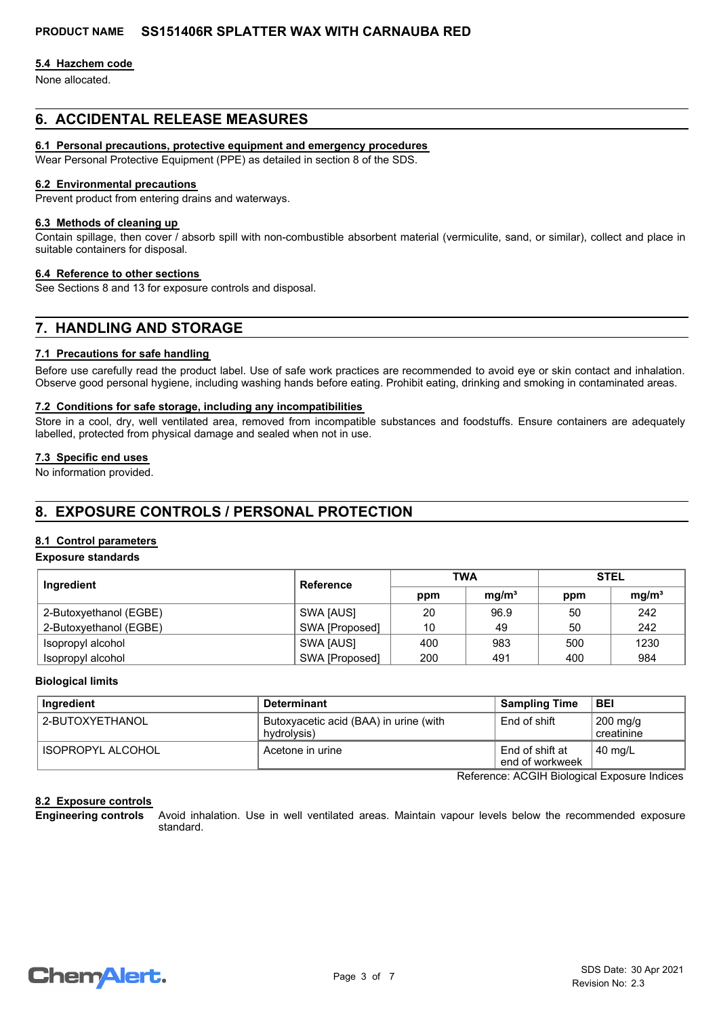#### **5.4 Hazchem code**

None allocated.

# **6. ACCIDENTAL RELEASE MEASURES**

### **6.1 Personal precautions, protective equipment and emergency procedures**

Wear Personal Protective Equipment (PPE) as detailed in section 8 of the SDS.

#### **6.2 Environmental precautions**

Prevent product from entering drains and waterways.

#### **6.3 Methods of cleaning up**

Contain spillage, then cover / absorb spill with non-combustible absorbent material (vermiculite, sand, or similar), collect and place in suitable containers for disposal.

#### **6.4 Reference to other sections**

See Sections 8 and 13 for exposure controls and disposal.

# **7. HANDLING AND STORAGE**

#### **7.1 Precautions for safe handling**

Before use carefully read the product label. Use of safe work practices are recommended to avoid eye or skin contact and inhalation. Observe good personal hygiene, including washing hands before eating. Prohibit eating, drinking and smoking in contaminated areas.

#### **7.2 Conditions for safe storage, including any incompatibilities**

Store in a cool, dry, well ventilated area, removed from incompatible substances and foodstuffs. Ensure containers are adequately labelled, protected from physical damage and sealed when not in use.

#### **7.3 Specific end uses**

No information provided.

# **8. EXPOSURE CONTROLS / PERSONAL PROTECTION**

### **8.1 Control parameters**

#### **Exposure standards**

| Ingredient             | Reference      | <b>TWA</b> |                   | <b>STEL</b> |                   |
|------------------------|----------------|------------|-------------------|-------------|-------------------|
|                        |                | ppm        | mq/m <sup>3</sup> | ppm         | mq/m <sup>3</sup> |
| 2-Butoxyethanol (EGBE) | SWA [AUS]      | 20         | 96.9              | 50          | 242               |
| 2-Butoxyethanol (EGBE) | SWA [Proposed] | 10         | 49                | 50          | 242               |
| Isopropyl alcohol      | SWA [AUS]      | 400        | 983               | 500         | 1230              |
| Isopropyl alcohol      | SWA [Proposed] | 200        | 491               | 400         | 984               |

#### **Biological limits**

| Ingredient        | <b>Determinant</b>                                    | <b>Sampling Time</b>               | <b>BEI</b>                       |
|-------------------|-------------------------------------------------------|------------------------------------|----------------------------------|
| 2-BUTOXYETHANOL   | Butoxyacetic acid (BAA) in urine (with<br>hydrolysis) | End of shift                       | $200 \text{ mg/g}$<br>creatinine |
| ISOPROPYL ALCOHOL | Acetone in urine                                      | End of shift at<br>end of workweek | $40 \text{ mg/L}$                |

Reference: ACGIH Biological Exposure Indices

#### **8.2 Exposure controls**

Avoid inhalation. Use in well ventilated areas. Maintain vapour levels below the recommended exposure standard. **Engineering controls**

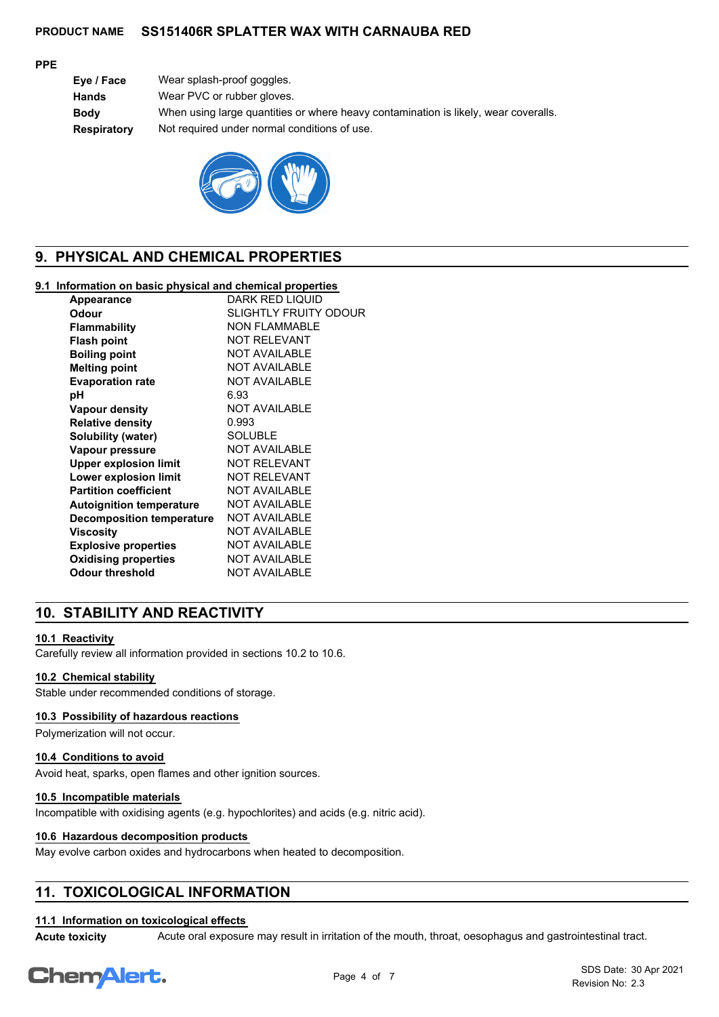#### **PPE**

| Eye / Face  | Wear splash-proof goggles.                                                          |
|-------------|-------------------------------------------------------------------------------------|
| Hands       | Wear PVC or rubber gloves.                                                          |
| Bodv        | When using large quantities or where heavy contamination is likely, wear coveralls. |
| Respiratory | Not required under normal conditions of use.                                        |
|             |                                                                                     |



# **9. PHYSICAL AND CHEMICAL PROPERTIES**

### **9.1 Information on basic physical and chemical properties**

| Appearance                       | DARK RED LIQUID              |
|----------------------------------|------------------------------|
| Odour                            | <b>SLIGHTLY FRUITY ODOUR</b> |
| Flammability                     | <b>NON FLAMMABLE</b>         |
| <b>Flash point</b>               | <b>NOT RELEVANT</b>          |
| <b>Boiling point</b>             | <b>NOT AVAILABLE</b>         |
| <b>Melting point</b>             | <b>NOT AVAILABLE</b>         |
| <b>Evaporation rate</b>          | <b>NOT AVAILABLE</b>         |
| рH                               | 6.93                         |
| Vapour density                   | <b>NOT AVAILABLE</b>         |
| <b>Relative density</b>          | 0.993                        |
| Solubility (water)               | <b>SOLUBLE</b>               |
| Vapour pressure                  | <b>NOT AVAILABLE</b>         |
| <b>Upper explosion limit</b>     | <b>NOT RELEVANT</b>          |
| Lower explosion limit            | <b>NOT RELEVANT</b>          |
| <b>Partition coefficient</b>     | <b>NOT AVAILABLE</b>         |
| <b>Autoignition temperature</b>  | <b>NOT AVAILABLE</b>         |
| <b>Decomposition temperature</b> | <b>NOT AVAILABLE</b>         |
| Viscositv                        | <b>NOT AVAILABLE</b>         |
| <b>Explosive properties</b>      | <b>NOT AVAILABLE</b>         |
| <b>Oxidising properties</b>      | <b>NOT AVAILABLE</b>         |
| Odour threshold                  | <b>NOT AVAILABLE</b>         |
|                                  |                              |

# **10. STABILITY AND REACTIVITY**

# **10.1 Reactivity**

Carefully review all information provided in sections 10.2 to 10.6.

#### **10.2 Chemical stability**

Stable under recommended conditions of storage.

# **10.3 Possibility of hazardous reactions**

Polymerization will not occur.

#### **10.4 Conditions to avoid**

Avoid heat, sparks, open flames and other ignition sources.

#### **10.5 Incompatible materials**

Incompatible with oxidising agents (e.g. hypochlorites) and acids (e.g. nitric acid).

#### **10.6 Hazardous decomposition products**

May evolve carbon oxides and hydrocarbons when heated to decomposition.

# **11. TOXICOLOGICAL INFORMATION**

# **11.1 Information on toxicological effects**

**Acute toxicity** Acute oral exposure may result in irritation of the mouth, throat, oesophagus and gastrointestinal tract.

# Chem<sup>Alert.</sup>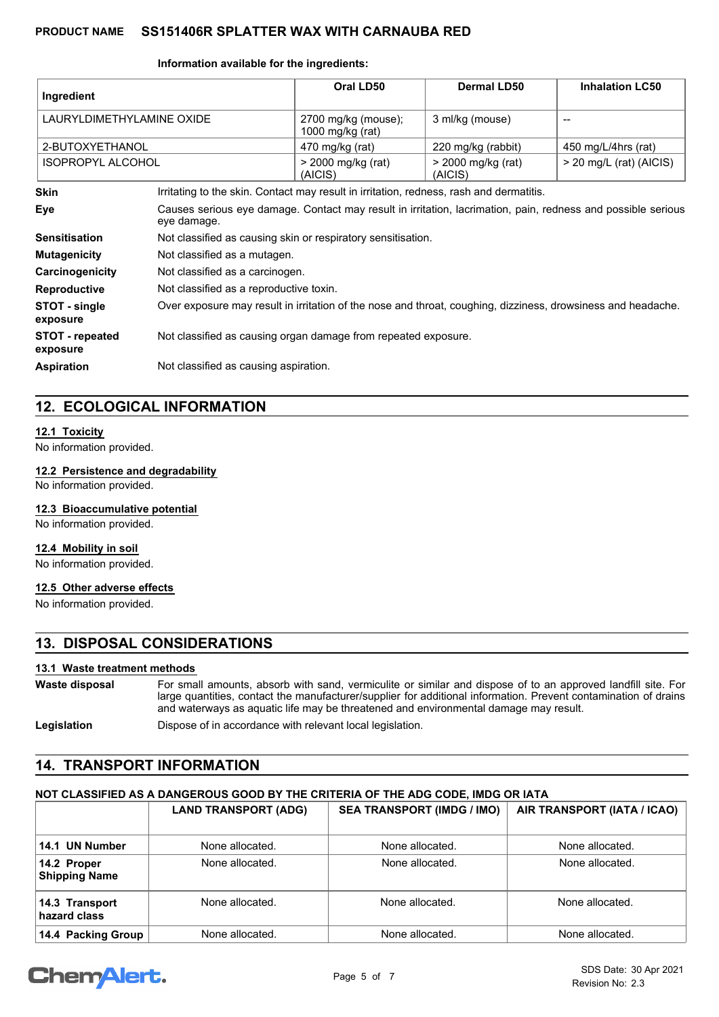#### **Information available for the ingredients:**

| Ingredient                         |                                                                                                                             | Oral LD50                                                                               | <b>Dermal LD50</b>              | <b>Inhalation LC50</b>    |
|------------------------------------|-----------------------------------------------------------------------------------------------------------------------------|-----------------------------------------------------------------------------------------|---------------------------------|---------------------------|
| LAURYLDIMETHYLAMINE OXIDE          |                                                                                                                             | 2700 mg/kg (mouse);<br>1000 mg/kg (rat)                                                 | 3 ml/kg (mouse)                 | --                        |
| 2-BUTOXYETHANOL                    |                                                                                                                             | 470 mg/kg (rat)                                                                         | 220 mg/kg (rabbit)              | 450 mg/L/4hrs (rat)       |
| <b>ISOPROPYL ALCOHOL</b>           |                                                                                                                             | > 2000 mg/kg (rat)<br>(AICIS)                                                           | $>$ 2000 mg/kg (rat)<br>(AICIS) | $>$ 20 mg/L (rat) (AICIS) |
| <b>Skin</b>                        |                                                                                                                             | Irritating to the skin. Contact may result in irritation, redness, rash and dermatitis. |                                 |                           |
| Eye                                | Causes serious eye damage. Contact may result in irritation, lacrimation, pain, redness and possible serious<br>eye damage. |                                                                                         |                                 |                           |
| <b>Sensitisation</b>               |                                                                                                                             | Not classified as causing skin or respiratory sensitisation.                            |                                 |                           |
| <b>Mutagenicity</b>                |                                                                                                                             | Not classified as a mutagen.                                                            |                                 |                           |
| Carcinogenicity                    | Not classified as a carcinogen.                                                                                             |                                                                                         |                                 |                           |
| <b>Reproductive</b>                | Not classified as a reproductive toxin.                                                                                     |                                                                                         |                                 |                           |
| STOT - single<br>exposure          | Over exposure may result in irritation of the nose and throat, coughing, dizziness, drowsiness and headache.                |                                                                                         |                                 |                           |
| <b>STOT</b> - repeated<br>exposure | Not classified as causing organ damage from repeated exposure.                                                              |                                                                                         |                                 |                           |
| <b>Aspiration</b>                  | Not classified as causing aspiration.                                                                                       |                                                                                         |                                 |                           |

# **12. ECOLOGICAL INFORMATION**

### **12.1 Toxicity**

No information provided.

#### **12.2 Persistence and degradability**

No information provided.

### **12.3 Bioaccumulative potential**

No information provided.

### **12.4 Mobility in soil**

No information provided.

# **12.5 Other adverse effects**

No information provided.

# **13. DISPOSAL CONSIDERATIONS**

### **13.1 Waste treatment methods**

For small amounts, absorb with sand, vermiculite or similar and dispose of to an approved landfill site. For large quantities, contact the manufacturer/supplier for additional information. Prevent contamination of drains and waterways as aquatic life may be threatened and environmental damage may result. **Waste disposal**

**Legislation Dispose of in accordance with relevant local legislation.** 

# **14. TRANSPORT INFORMATION**

# **NOT CLASSIFIED AS A DANGEROUS GOOD BY THE CRITERIA OF THE ADG CODE, IMDG OR IATA**

|                                     | <b>LAND TRANSPORT (ADG)</b> | <b>SEA TRANSPORT (IMDG / IMO)</b> | AIR TRANSPORT (IATA / ICAO) |
|-------------------------------------|-----------------------------|-----------------------------------|-----------------------------|
| 14.1 UN Number                      | None allocated.             | None allocated.                   | None allocated.             |
| 14.2 Proper<br><b>Shipping Name</b> | None allocated.             | None allocated.                   | None allocated.             |
| 14.3 Transport<br>hazard class      | None allocated.             | None allocated.                   | None allocated.             |
| 14.4 Packing Group                  | None allocated.             | None allocated.                   | None allocated.             |

# **ChemAlert.**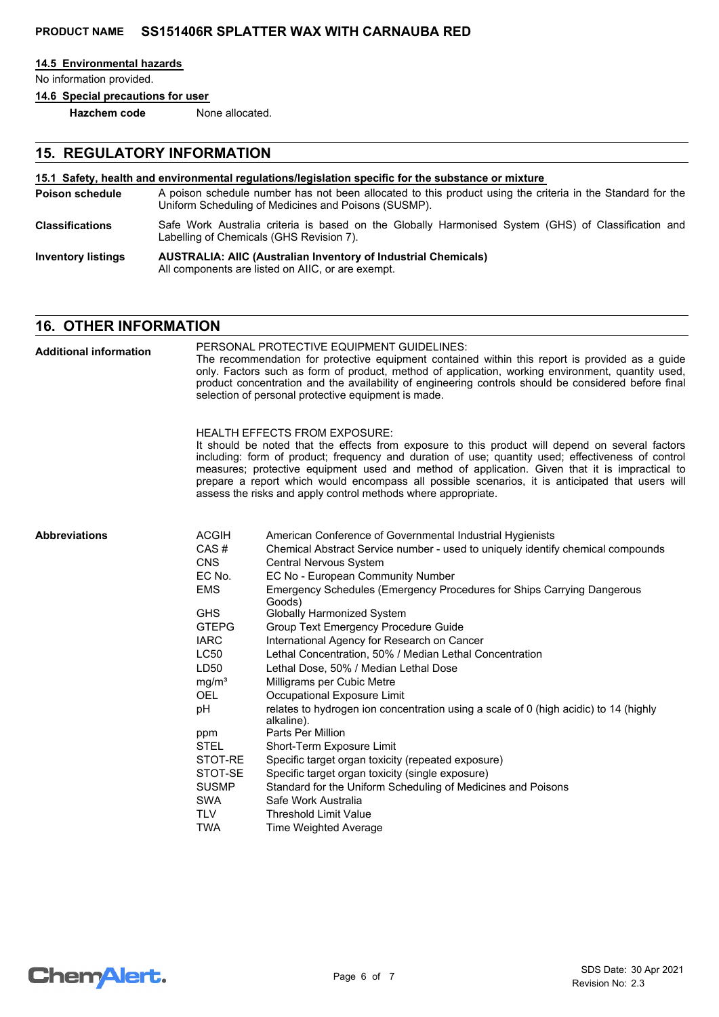#### **14.5 Environmental hazards**

No information provided.

**14.6 Special precautions for user**

**Hazchem code** None allocated.

# **15. REGULATORY INFORMATION**

#### **15.1 Safety, health and environmental regulations/legislation specific for the substance or mixture**

- A poison schedule number has not been allocated to this product using the criteria in the Standard for the Uniform Scheduling of Medicines and Poisons (SUSMP). **Poison schedule**
- Safe Work Australia criteria is based on the Globally Harmonised System (GHS) of Classification and Labelling of Chemicals (GHS Revision 7). **Classifications**
- **AUSTRALIA: AIIC (Australian Inventory of Industrial Chemicals)** All components are listed on AIIC, or are exempt. **Inventory listings**

# **16. OTHER INFORMATION**

PERSONAL PROTECTIVE EQUIPMENT GUIDELINES: The recommendation for protective equipment contained within this report is provided as a guide only. Factors such as form of product, method of application, working environment, quantity used, product concentration and the availability of engineering controls should be considered before final selection of personal protective equipment is made. HEALTH EFFECTS FROM EXPOSURE: It should be noted that the effects from exposure to this product will depend on several factors including: form of product; frequency and duration of use; quantity used; effectiveness of control measures; protective equipment used and method of application. Given that it is impractical to prepare a report which would encompass all possible scenarios, it is anticipated that users will assess the risks and apply control methods where appropriate. ACGIH American Conference of Governmental Industrial Hygienists CAS # Chemical Abstract Service number - used to uniquely identify chemical compounds CNS Central Nervous System EC No. EC No - European Community Number EMS Emergency Schedules (Emergency Procedures for Ships Carrying Dangerous Goods) GHS Globally Harmonized System GTEPG Group Text Emergency Procedure Guide IARC International Agency for Research on Cancer LC50 Lethal Concentration, 50% / Median Lethal Concentration LD50 Lethal Dose, 50% / Median Lethal Dose mg/m<sup>3</sup> Milligrams per Cubic Metre OEL Occupational Exposure Limit pH relates to hydrogen ion concentration using a scale of 0 (high acidic) to 14 (highly alkaline). ppm Parts Per Million STEL Short-Term Exposure Limit STOT-RE Specific target organ toxicity (repeated exposure) STOT-SE Specific target organ toxicity (single exposure) SUSMP Standard for the Uniform Scheduling of Medicines and Poisons SWA Safe Work Australia TLV Threshold Limit Value **Abbreviations Additional information**

TWA Time Weighted Average